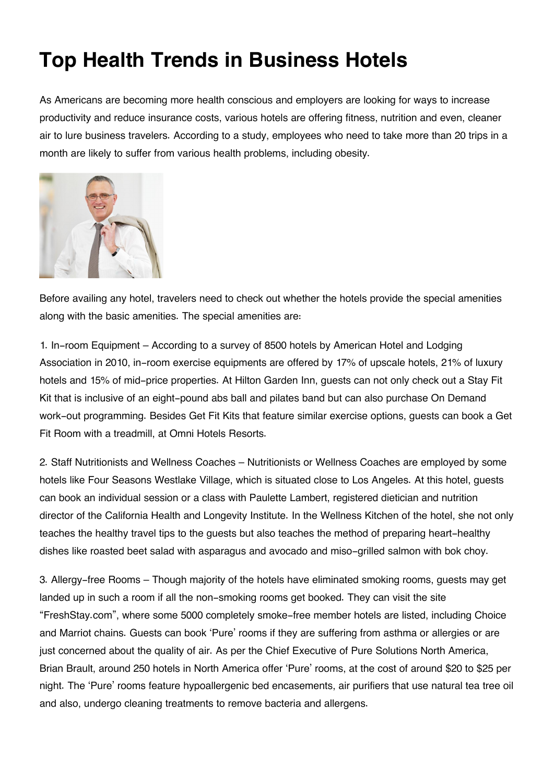## **Top Health Trends in Business Hotels**

As Americans are becoming more health conscious and employers are looking for ways to increase productivity and reduce insurance costs, various hotels are offering fitness, nutrition and even, cleaner air to lure business travelers. According to a study, employees who need to take more than 20 trips in a month are likely to suffer from various health problems, including obesity.



Before availing any hotel, travelers need to check out whether the hotels provide the special amenities along with the basic amenities. The special amenities are:

1. In-room Equipment – According to a survey of 8500 hotels by American Hotel and Lodging Association in 2010, in-room exercise equipments are offered by 17% of upscale hotels, 21% of luxury hotels and 15% of mid-price properties. At Hilton Garden Inn, guests can not only check out a Stay Fit Kit that is inclusive of an eight-pound abs ball and pilates band but can also purchase On Demand work-out programming. Besides Get Fit Kits that feature similar exercise options, guests can book a Get Fit Room with a treadmill, at Omni Hotels Resorts.

2. Staff Nutritionists and Wellness Coaches – Nutritionists or Wellness Coaches are employed by some hotels like Four Seasons Westlake Village, which is situated close to Los Angeles. At this hotel, guests can book an individual session or a class with Paulette Lambert, registered dietician and nutrition director of the California Health and Longevity Institute. In the Wellness Kitchen of the hotel, she not only teaches the healthy travel tips to the guests but also teaches the method of preparing heart-healthy dishes like roasted beet salad with asparagus and avocado and miso-grilled salmon with bok choy.

3. Allergy-free Rooms – Though majority of the hotels have eliminated smoking rooms, guests may get landed up in such a room if all the non-smoking rooms get booked. They can visit the site "FreshStay.com", where some 5000 completely smoke-free member hotels are listed, including Choice and Marriot chains. Guests can book 'Pure' rooms if they are suffering from asthma or allergies or are just concerned about the quality of air. As per the Chief Executive of Pure Solutions North America, Brian Brault, around 250 hotels in North America offer 'Pure' rooms, at the cost of around \$20 to \$25 per night. The 'Pure' rooms feature hypoallergenic bed encasements, air purifiers that use natural tea tree oil and also, undergo cleaning treatments to remove bacteria and allergens.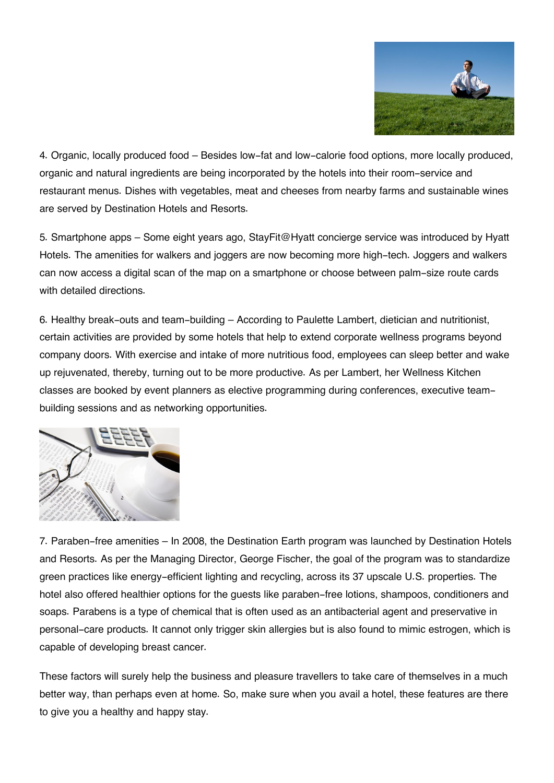

4. Organic, locally produced food – Besides low-fat and low-calorie food options, more locally produced, organic and natural ingredients are being incorporated by the hotels into their room-service and restaurant menus. Dishes with vegetables, meat and cheeses from nearby farms and sustainable wines are served by Destination Hotels and Resorts.

5. Smartphone apps – Some eight years ago, StayFit@Hyatt concierge service was introduced by Hyatt Hotels. The amenities for walkers and joggers are now becoming more high-tech. Joggers and walkers can now access a digital scan of the map on a smartphone or choose between palm-size route cards with detailed directions.

6. Healthy break-outs and team-building – According to Paulette Lambert, dietician and nutritionist, certain activities are provided by some hotels that help to extend corporate wellness programs beyond company doors. With exercise and intake of more nutritious food, employees can sleep better and wake up rejuvenated, thereby, turning out to be more productive. As per Lambert, her Wellness Kitchen classes are booked by event planners as elective programming during conferences, executive teambuilding sessions and as networking opportunities.



7. Paraben-free amenities – In 2008, the Destination Earth program was launched by Destination Hotels and Resorts. As per the Managing Director, George Fischer, the goal of the program was to standardize green practices like energy-efficient lighting and recycling, across its 37 upscale U.S. properties. The hotel also offered healthier options for the guests like paraben-free lotions, shampoos, conditioners and soaps. Parabens is a type of chemical that is often used as an antibacterial agent and preservative in personal-care products. It cannot only trigger skin allergies but is also found to mimic estrogen, which is capable of developing breast cancer.

These factors will surely help the business and pleasure travellers to take care of themselves in a much better way, than perhaps even at home. So, make sure when you avail a hotel, these features are there to give you a healthy and happy stay.